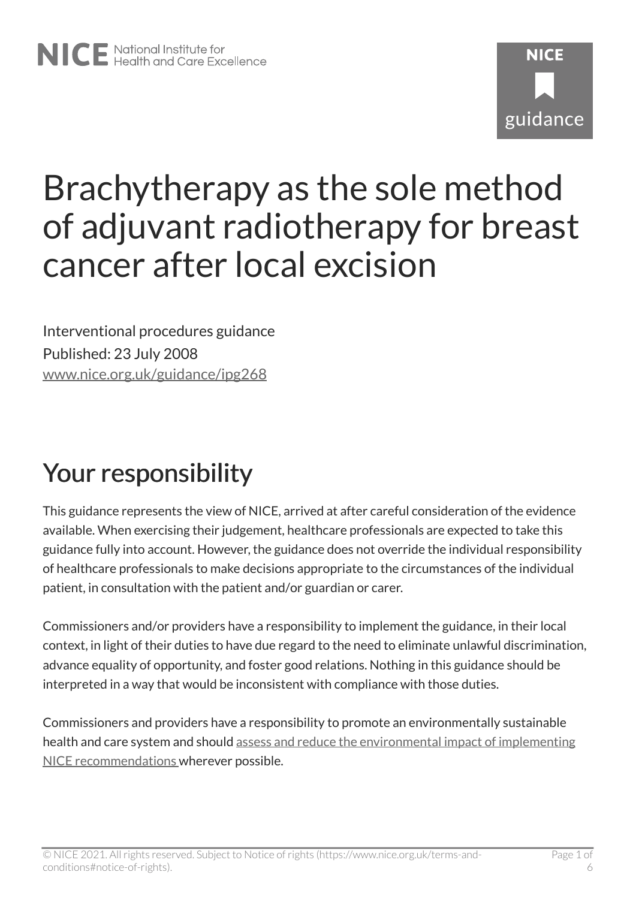# **NICF** guidance

# Brachytherapy as the sole method of adjuvant radiotherapy for breast cancer after local excision

Interventional procedures guidance Published: 23 July 2008 [www.nice.org.uk/guidance/ipg268](https://www.nice.org.uk/guidance/ipg268) 

# Your responsibility

This guidance represents the view of NICE, arrived at after careful consideration of the evidence available. When exercising their judgement, healthcare professionals are expected to take this guidance fully into account. However, the guidance does not override the individual responsibility of healthcare professionals to make decisions appropriate to the circumstances of the individual patient, in consultation with the patient and/or guardian or carer.

Commissioners and/or providers have a responsibility to implement the guidance, in their local context, in light of their duties to have due regard to the need to eliminate unlawful discrimination, advance equality of opportunity, and foster good relations. Nothing in this guidance should be interpreted in a way that would be inconsistent with compliance with those duties.

Commissioners and providers have a responsibility to promote an environmentally sustainable health and care system and should [assess and reduce the environmental impact of implementing](https://www.nice.org.uk/about/who-we-are/sustainability)  [NICE recommendations w](https://www.nice.org.uk/about/who-we-are/sustainability)herever possible.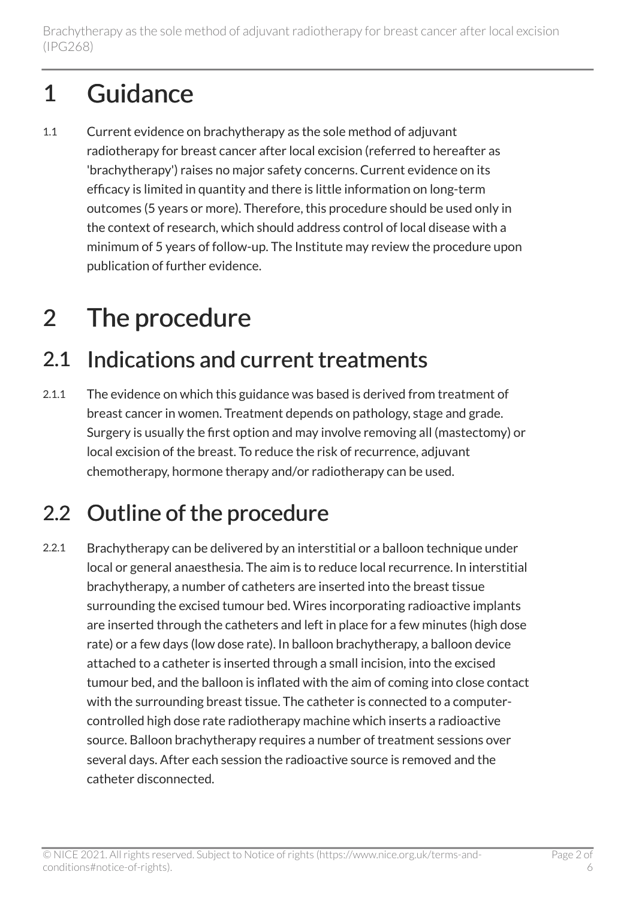# 1 Guidance

1.1 Current evidence on brachytherapy as the sole method of adjuvant radiotherapy for breast cancer after local excision (referred to hereafter as 'brachytherapy') raises no major safety concerns. Current evidence on its efficacy is limited in quantity and there is little information on long-term outcomes (5 years or more). Therefore, this procedure should be used only in the context of research, which should address control of local disease with a minimum of 5 years of follow-up. The Institute may review the procedure upon publication of further evidence.

# 2 The procedure

### 2.1 Indications and current treatments

2.1.1 The evidence on which this guidance was based is derived from treatment of breast cancer in women. Treatment depends on pathology, stage and grade. Surgery is usually the first option and may involve removing all (mastectomy) or local excision of the breast. To reduce the risk of recurrence, adjuvant chemotherapy, hormone therapy and/or radiotherapy can be used.

### 2.2 Outline of the procedure

2.2.1 Brachytherapy can be delivered by an interstitial or a balloon technique under local or general anaesthesia. The aim is to reduce local recurrence. In interstitial brachytherapy, a number of catheters are inserted into the breast tissue surrounding the excised tumour bed. Wires incorporating radioactive implants are inserted through the catheters and left in place for a few minutes (high dose rate) or a few days (low dose rate). In balloon brachytherapy, a balloon device attached to a catheter is inserted through a small incision, into the excised tumour bed, and the balloon is inflated with the aim of coming into close contact with the surrounding breast tissue. The catheter is connected to a computercontrolled high dose rate radiotherapy machine which inserts a radioactive source. Balloon brachytherapy requires a number of treatment sessions over several days. After each session the radioactive source is removed and the catheter disconnected.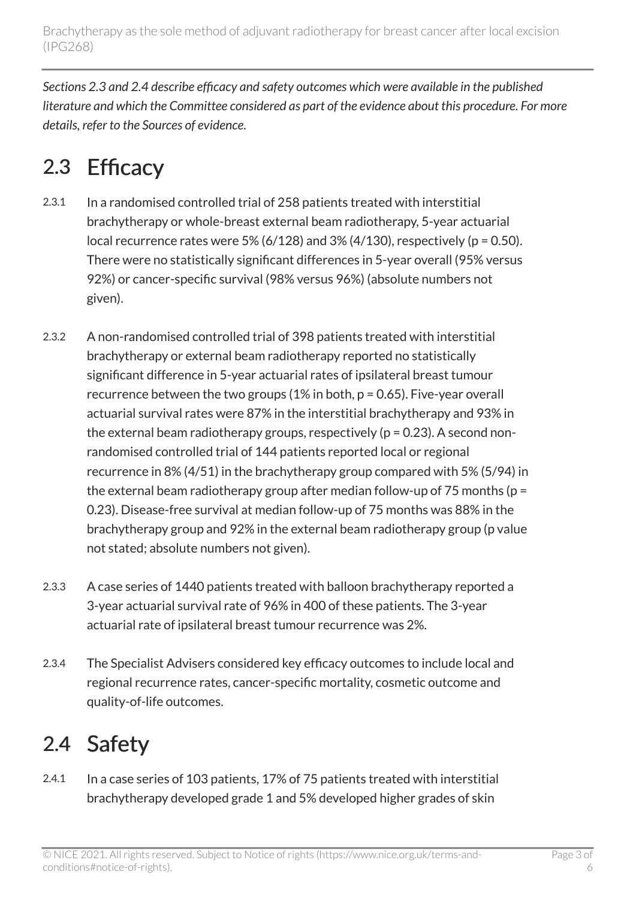*Sections 2.3 and 2.4 describe efficacy and safety outcomes which were available in the published literature and which the Committee considered as part of the evidence about this procedure. For more details, refer to the Sources of evidence.* 

## 2.3 Efficacy

- 2.3.1 In a randomised controlled trial of 258 patients treated with interstitial brachytherapy or whole-breast external beam radiotherapy, 5-year actuarial local recurrence rates were 5% (6/128) and 3% (4/130), respectively ( $p = 0.50$ ). There were no statistically significant differences in 5-year overall (95% versus 92%) or cancer-specific survival (98% versus 96%) (absolute numbers not given).
- 2.3.2 A non-randomised controlled trial of 398 patients treated with interstitial brachytherapy or external beam radiotherapy reported no statistically significant difference in 5-year actuarial rates of ipsilateral breast tumour recurrence between the two groups (1% in both, p = 0.65). Five-year overall actuarial survival rates were 87% in the interstitial brachytherapy and 93% in the external beam radiotherapy groups, respectively ( $p = 0.23$ ). A second nonrandomised controlled trial of 144 patients reported local or regional recurrence in 8% (4/51) in the brachytherapy group compared with 5% (5/94) in the external beam radiotherapy group after median follow-up of 75 months ( $p =$ 0.23). Disease-free survival at median follow-up of 75 months was 88% in the brachytherapy group and 92% in the external beam radiotherapy group (p value not stated; absolute numbers not given).
- 2.3.3 A case series of 1440 patients treated with balloon brachytherapy reported a 3-year actuarial survival rate of 96% in 400 of these patients. The 3-year actuarial rate of ipsilateral breast tumour recurrence was 2%.
- 2.3.4 The Specialist Advisers considered key efficacy outcomes to include local and regional recurrence rates, cancer-specific mortality, cosmetic outcome and quality-of-life outcomes.

### 2.4 Safety

2.4.1 In a case series of 103 patients, 17% of 75 patients treated with interstitial brachytherapy developed grade 1 and 5% developed higher grades of skin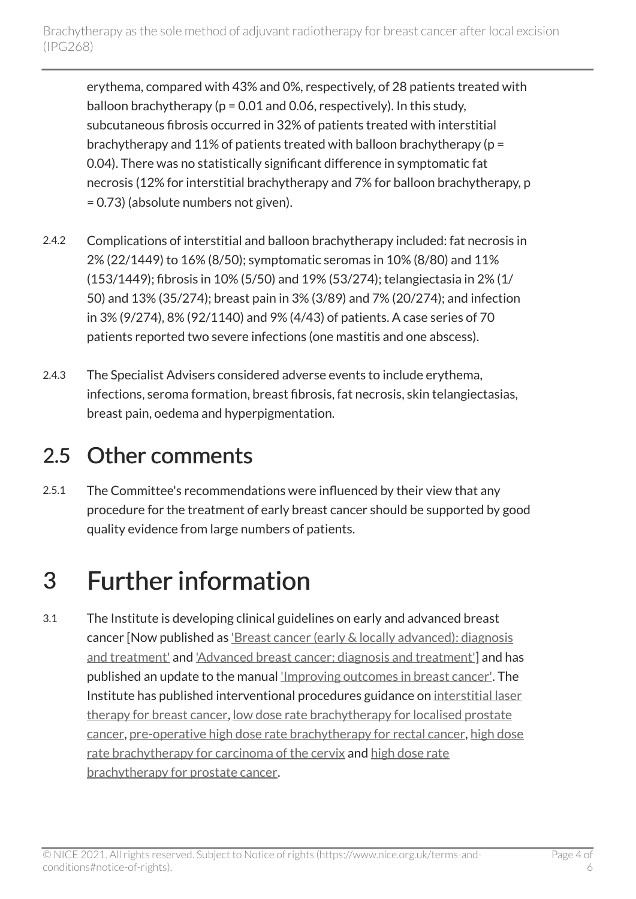erythema, compared with 43% and 0%, respectively, of 28 patients treated with balloon brachytherapy ( $p = 0.01$  and 0.06, respectively). In this study, subcutaneous fibrosis occurred in 32% of patients treated with interstitial brachytherapy and 11% of patients treated with balloon brachytherapy (p = 0.04). There was no statistically significant difference in symptomatic fat necrosis (12% for interstitial brachytherapy and 7% for balloon brachytherapy, p = 0.73) (absolute numbers not given).

- 2.4.2 Complications of interstitial and balloon brachytherapy included: fat necrosis in 2% (22/1449) to 16% (8/50); symptomatic seromas in 10% (8/80) and 11% (153/1449); fibrosis in 10% (5/50) and 19% (53/274); telangiectasia in 2% (1/ 50) and 13% (35/274); breast pain in 3% (3/89) and 7% (20/274); and infection in 3% (9/274), 8% (92/1140) and 9% (4/43) of patients. A case series of 70 patients reported two severe infections (one mastitis and one abscess).
- 2.4.3 The Specialist Advisers considered adverse events to include erythema, infections, seroma formation, breast fibrosis, fat necrosis, skin telangiectasias, breast pain, oedema and hyperpigmentation.

### 2.5 Other comments

2.5.1 The Committee's recommendations were influenced by their view that any procedure for the treatment of early breast cancer should be supported by good quality evidence from large numbers of patients.

# 3 Further information

3.1 The Institute is developing clinical guidelines on early and advanced breast cancer [Now published as 'Breast cancer (early & locally advanced): diagnosis [and treatment'](http://www.nice.org.uk/guidance/cg80) and ['Advanced breast cancer: diagnosis and treatment'](http://www.nice.org.uk/guidance/cg81)] and has published an update to the manual ['Improving outcomes in breast cancer'.](http://www.nice.org.uk/guidance/csgbc) The Institute has published interventional procedures guidance on [interstitial laser](http://www.nice.org.uk/guidance/ipg89)  [therapy for breast cancer](http://www.nice.org.uk/guidance/ipg89), [low dose rate brachytherapy for localised prostate](http://www.nice.org.uk/guidance/ipg132)  [cancer](http://www.nice.org.uk/guidance/ipg132), [pre-operative high dose rate brachytherapy for rectal cancer,](http://www.nice.org.uk/guidance/ipg201) [high dose](http://www.nice.org.uk/guidance/ipg160) [rate brachytherapy for carcinoma of the cervix](http://www.nice.org.uk/guidance/ipg160) and [high dose rate](http://www.nice.org.uk/guidance/ipg174)  [brachytherapy for prostate cancer.](http://www.nice.org.uk/guidance/ipg174)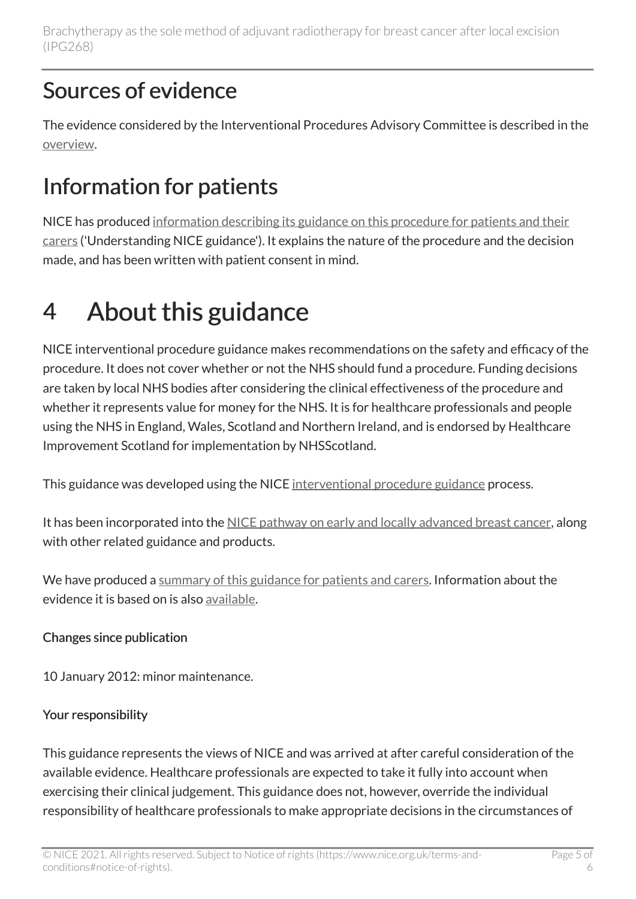Brachytherapy as the sole method of adjuvant radiotherapy for breast cancer after local excision (IPG268)

#### Sources of evidence

The evidence considered by the Interventional Procedures Advisory Committee is described in the [overview](http://www.nice.org.uk/guidance/ipg268/resources/brachytherapy-as-the-sole-method-of-adjuvant-radiotherapy-for-breast-cancer-after-local-excision-interventional-procedures-overview2).

### Information for patients

NICE has produced [information describing its guidance on this procedure for patients and their](http://www.nice.org.uk/guidance/ipg268/informationforpublic) [carers](http://www.nice.org.uk/guidance/ipg268/informationforpublic) ('Understanding NICE guidance'). It explains the nature of the procedure and the decision made, and has been written with patient consent in mind.

# 4 About this guidance

NICE interventional procedure guidance makes recommendations on the safety and efficacy of the procedure. It does not cover whether or not the NHS should fund a procedure. Funding decisions are taken by local NHS bodies after considering the clinical effectiveness of the procedure and whether it represents value for money for the NHS. It is for healthcare professionals and people using the NHS in England, Wales, Scotland and Northern Ireland, and is endorsed by Healthcare Improvement Scotland for implementation by NHSScotland.

This guidance was developed using the NICE [interventional procedure guidance](http://www.nice.org.uk/about/what-we-do/our-programmes/nice-guidance/nice-interventional-procedures-guidance) process.

It has been incorporated into the [NICE pathway on early and locally advanced breast cancer](http://pathways.nice.org.uk/pathways/early-and-locally-advanced-breast-cancer), along with other related guidance and products.

We have produced a [summary of this guidance for patients and carers.](http://www.nice.org.uk/guidance/ipg268/informationforpublic) Information about the evidence it is based on is also [available](http://www.nice.org.uk/guidance/ipg268).

#### Changes since publication

10 January 2012: minor maintenance.

#### Your responsibility

This guidance represents the views of NICE and was arrived at after careful consideration of the available evidence. Healthcare professionals are expected to take it fully into account when exercising their clinical judgement. This guidance does not, however, override the individual responsibility of healthcare professionals to make appropriate decisions in the circumstances of